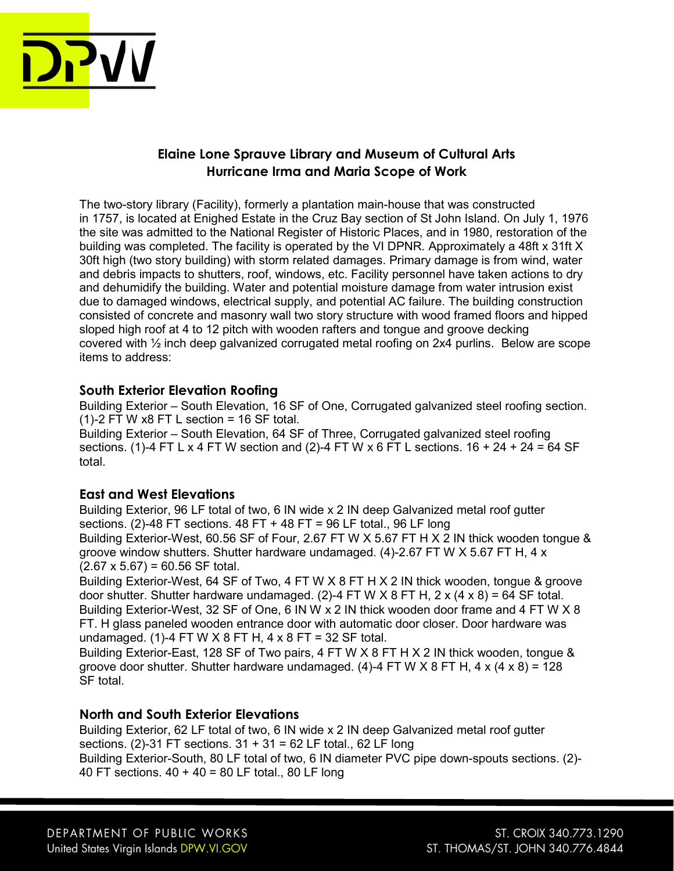

# Elaine Lone Sprauve Library and Museum of Cultural Arts Hurricane Irma and Maria Scope of Work

The two-story library (Facility), formerly a plantation main-house that was constructed in 1757, is located at Enighed Estate in the Cruz Bay section of St John Island. On July 1, 1976 the site was admitted to the National Register of Historic Places, and in 1980, restoration of the building was completed. The facility is operated by the VI DPNR. Approximately a 48ft x 31ft X 30ft high (two story building) with storm related damages. Primary damage is from wind, water and debris impacts to shutters, roof, windows, etc. Facility personnel have taken actions to dry and dehumidify the building. Water and potential moisture damage from water intrusion exist due to damaged windows, electrical supply, and potential AC failure. The building construction consisted of concrete and masonry wall two story structure with wood framed floors and hipped sloped high roof at 4 to 12 pitch with wooden rafters and tongue and groove decking covered with  $\frac{1}{2}$  inch deep galvanized corrugated metal roofing on 2x4 purlins. Below are scope items to address:

## South Exterior Elevation Roofing

Building Exterior – South Elevation, 16 SF of One, Corrugated galvanized steel roofing section.  $(1)-2$  FT W x8 FT L section = 16 SF total.

Building Exterior – South Elevation, 64 SF of Three, Corrugated galvanized steel roofing sections. (1)-4 FT L x 4 FT W section and (2)-4 FT W x 6 FT L sections.  $16 + 24 + 24 = 64$  SF total.

## East and West Elevations

Building Exterior, 96 LF total of two, 6 IN wide x 2 IN deep Galvanized metal roof gutter sections. (2)-48 FT sections.  $48$  FT +  $48$  FT = 96 LF total., 96 LF long Building Exterior-West, 60.56 SF of Four, 2.67 FT W X 5.67 FT H X 2 IN thick wooden tongue & groove window shutters. Shutter hardware undamaged. (4)-2.67 FT W X 5.67 FT H, 4 x  $(2.67 \times 5.67) = 60.56$  SF total.

Building Exterior-West, 64 SF of Two, 4 FT W X 8 FT H X 2 IN thick wooden, tongue & groove door shutter. Shutter hardware undamaged. (2)-4 FT W X 8 FT H, 2 x (4 x 8) = 64 SF total. Building Exterior-West, 32 SF of One, 6 IN W x 2 IN thick wooden door frame and 4 FT W X 8 FT. H glass paneled wooden entrance door with automatic door closer. Door hardware was undamaged. (1)-4 FT W  $X$  8 FT H, 4 x 8 FT = 32 SF total.

Building Exterior-East, 128 SF of Two pairs, 4 FT W X 8 FT H X 2 IN thick wooden, tongue & groove door shutter. Shutter hardware undamaged. (4)-4 FT W X 8 FT H, 4 x (4 x 8) =  $128$ SF total.

# North and South Exterior Elevations

Building Exterior, 62 LF total of two, 6 IN wide x 2 IN deep Galvanized metal roof gutter sections. (2)-31 FT sections. 31 + 31 = 62 LF total., 62 LF long Building Exterior-South, 80 LF total of two, 6 IN diameter PVC pipe down-spouts sections. (2)- 40 FT sections. 40 + 40 = 80 LF total., 80 LF long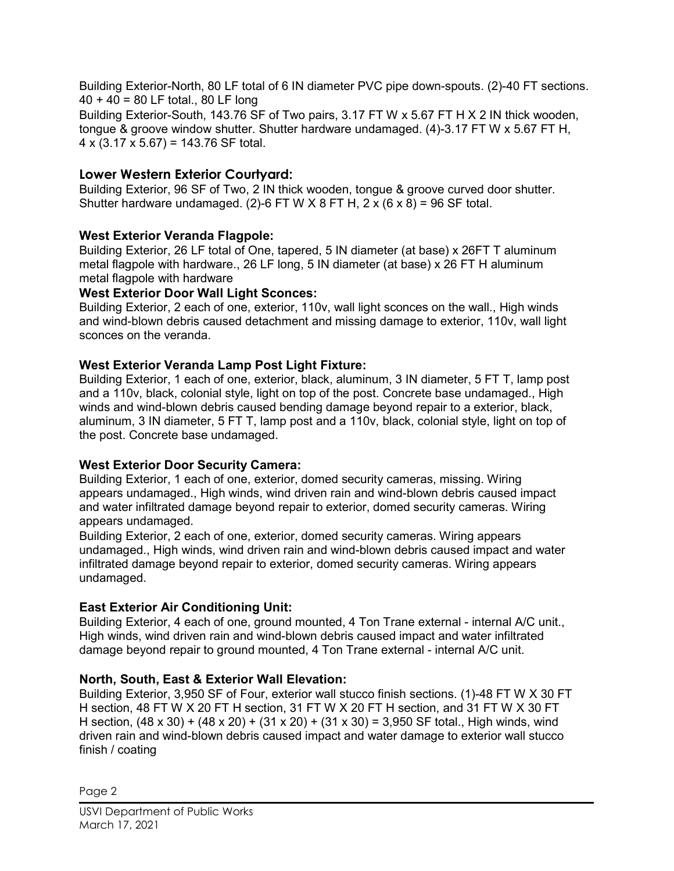Building Exterior-North, 80 LF total of 6 IN diameter PVC pipe down-spouts. (2)-40 FT sections. 40 + 40 = 80 LF total., 80 LF long Building Exterior-South, 143.76 SF of Two pairs, 3.17 FT W x 5.67 FT H X 2 IN thick wooden, tongue & groove window shutter. Shutter hardware undamaged. (4)-3.17 FT W x 5.67 FT H,  $4 \times (3.17 \times 5.67) = 143.76$  SF total.

# Lower Western Exterior Courtyard:

Building Exterior, 96 SF of Two, 2 IN thick wooden, tongue & groove curved door shutter. Shutter hardware undamaged. (2)-6 FT W  $\times$  8 FT H, 2  $\times$  (6  $\times$  8) = 96 SF total.

## West Exterior Veranda Flagpole:

Building Exterior, 26 LF total of One, tapered, 5 IN diameter (at base) x 26FT T aluminum metal flagpole with hardware., 26 LF long, 5 IN diameter (at base) x 26 FT H aluminum metal flagpole with hardware

## West Exterior Door Wall Light Sconces:

Building Exterior, 2 each of one, exterior, 110v, wall light sconces on the wall., High winds and wind-blown debris caused detachment and missing damage to exterior, 110v, wall light sconces on the veranda.

## West Exterior Veranda Lamp Post Light Fixture:

Building Exterior, 1 each of one, exterior, black, aluminum, 3 IN diameter, 5 FT T, lamp post and a 110v, black, colonial style, light on top of the post. Concrete base undamaged., High winds and wind-blown debris caused bending damage beyond repair to a exterior, black, aluminum, 3 IN diameter, 5 FT T, lamp post and a 110v, black, colonial style, light on top of the post. Concrete base undamaged.

## West Exterior Door Security Camera:

Building Exterior, 1 each of one, exterior, domed security cameras, missing. Wiring appears undamaged., High winds, wind driven rain and wind-blown debris caused impact and water infiltrated damage beyond repair to exterior, domed security cameras. Wiring appears undamaged.

Building Exterior, 2 each of one, exterior, domed security cameras. Wiring appears undamaged., High winds, wind driven rain and wind-blown debris caused impact and water infiltrated damage beyond repair to exterior, domed security cameras. Wiring appears undamaged.

# East Exterior Air Conditioning Unit:

Building Exterior, 4 each of one, ground mounted, 4 Ton Trane external - internal A/C unit.. High winds, wind driven rain and wind-blown debris caused impact and water infiltrated damage beyond repair to ground mounted, 4 Ton Trane external - internal A/C unit.

# North, South, East & Exterior Wall Elevation:

Building Exterior, 3,950 SF of Four, exterior wall stucco finish sections. (1)-48 FT W X 30 FT H section, 48 FT W X 20 FT H section, 31 FT W X 20 FT H section, and 31 FT W X 30 FT H section,  $(48 \times 30) + (48 \times 20) + (31 \times 20) + (31 \times 30) = 3,950$  SF total., High winds, wind driven rain and wind-blown debris caused impact and water damage to exterior wall stucco finish / coating

Page 2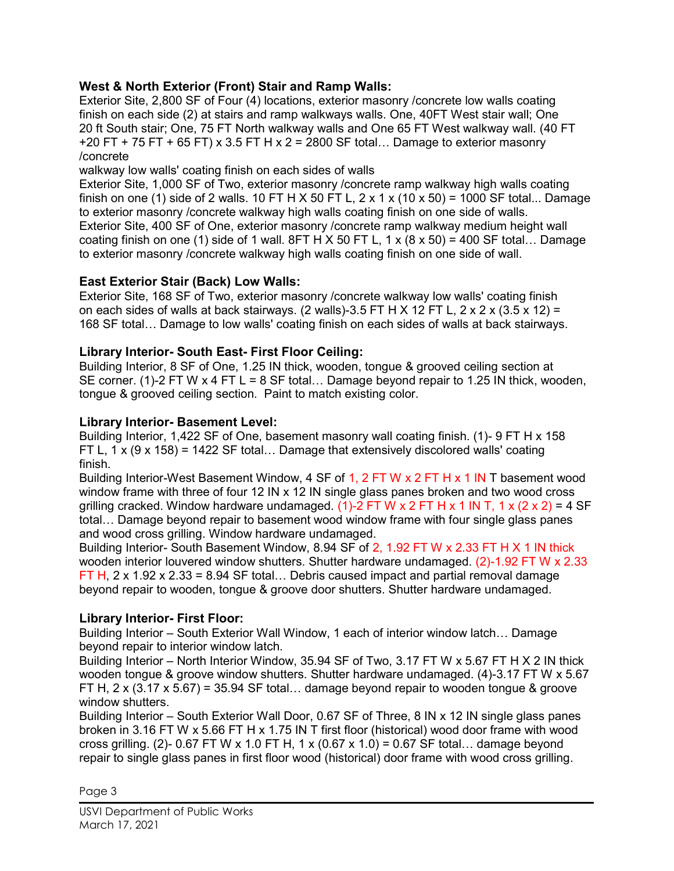## West & North Exterior (Front) Stair and Ramp Walls:

Exterior Site, 2,800 SF of Four (4) locations, exterior masonry /concrete low walls coating finish on each side (2) at stairs and ramp walkways walls. One, 40FT West stair wall; One 20 ft South stair; One, 75 FT North walkway walls and One 65 FT West walkway wall. (40 FT +20 FT + 75 FT + 65 FT) x 3.5 FT H x 2 = 2800 SF total... Damage to exterior masonry /concrete

walkway low walls' coating finish on each sides of walls

Exterior Site, 1,000 SF of Two, exterior masonry /concrete ramp walkway high walls coating finish on one (1) side of 2 walls. 10 FT H X 50 FT L,  $2 \times 1 \times (10 \times 50) = 1000$  SF total... Damage to exterior masonry /concrete walkway high walls coating finish on one side of walls. Exterior Site, 400 SF of One, exterior masonry /concrete ramp walkway medium height wall coating finish on one (1) side of 1 wall. 8FT H X 50 FT L,  $1 \times (8 \times 50) = 400$  SF total... Damage to exterior masonry /concrete walkway high walls coating finish on one side of wall.

## East Exterior Stair (Back) Low Walls:

Exterior Site, 168 SF of Two, exterior masonry /concrete walkway low walls' coating finish on each sides of walls at back stairways. (2 walls)-3.5 FT H X 12 FT L,  $2 \times 2 \times (3.5 \times 12) =$ 168 SF total… Damage to low walls' coating finish on each sides of walls at back stairways.

#### Library Interior- South East- First Floor Ceiling:

Building Interior, 8 SF of One, 1.25 IN thick, wooden, tongue & grooved ceiling section at SE corner. (1)-2 FT W  $\times$  4 FT L = 8 SF total... Damage beyond repair to 1.25 IN thick, wooden, tongue & grooved ceiling section. Paint to match existing color.

#### Library Interior- Basement Level:

Building Interior, 1,422 SF of One, basement masonry wall coating finish. (1)- 9 FT H x 158 FT L,  $1 \times (9 \times 158) = 1422$  SF total... Damage that extensively discolored walls' coating finish.

Building Interior-West Basement Window, 4 SF of 1, 2 FT W x 2 FT H x 1 IN T basement wood window frame with three of four 12 IN x 12 IN single glass panes broken and two wood cross grilling cracked. Window hardware undamaged. (1)-2 FT W x 2 FT H x 1 IN T, 1 x (2 x 2) = 4 SF total… Damage beyond repair to basement wood window frame with four single glass panes and wood cross grilling. Window hardware undamaged.

Building Interior- South Basement Window, 8.94 SF of 2, 1.92 FT W x 2.33 FT H X 1 IN thick wooden interior louvered window shutters. Shutter hardware undamaged. (2)-1.92 FT W x 2.33 FT H,  $2 \times 1.92 \times 2.33 = 8.94$  SF total... Debris caused impact and partial removal damage beyond repair to wooden, tongue & groove door shutters. Shutter hardware undamaged.

## Library Interior- First Floor:

Building Interior – South Exterior Wall Window, 1 each of interior window latch… Damage beyond repair to interior window latch.

Building Interior – North Interior Window, 35.94 SF of Two, 3.17 FT W x 5.67 FT H X 2 IN thick wooden tongue & groove window shutters. Shutter hardware undamaged. (4)-3.17 FT W x 5.67 FT H, 2 x (3.17 x 5.67) = 35.94 SF total... damage beyond repair to wooden tongue & groove window shutters.

Building Interior – South Exterior Wall Door, 0.67 SF of Three, 8 IN x 12 IN single glass panes broken in 3.16 FT W x 5.66 FT H x 1.75 IN T first floor (historical) wood door frame with wood cross grilling. (2)- 0.67 FT W x 1.0 FT H, 1 x (0.67 x 1.0) = 0.67 SF total… damage beyond repair to single glass panes in first floor wood (historical) door frame with wood cross grilling.

Page 3